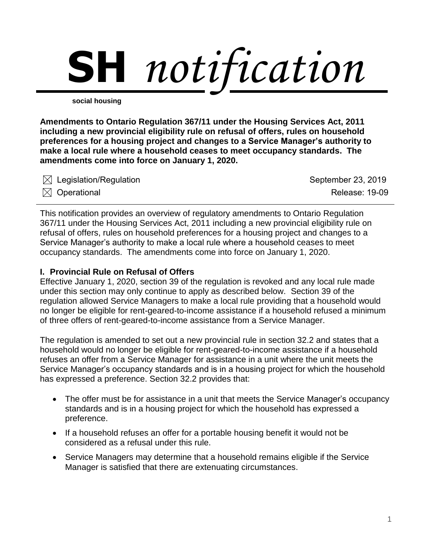

**social housing**

**Amendments to Ontario Regulation 367/11 under the Housing Services Act, 2011 including a new provincial eligibility rule on refusal of offers, rules on household preferences for a housing project and changes to a Service Manager's authority to make a local rule where a household ceases to meet occupancy standards. The amendments come into force on January 1, 2020.** 

| $\boxtimes$ Legislation/Regulation | September 23, 2019    |
|------------------------------------|-----------------------|
| $\boxtimes$ Operational            | <b>Release: 19-09</b> |

This notification provides an overview of regulatory amendments to Ontario Regulation 367/11 under the Housing Services Act, 2011 including a new provincial eligibility rule on refusal of offers, rules on household preferences for a housing project and changes to a Service Manager's authority to make a local rule where a household ceases to meet occupancy standards. The amendments come into force on January 1, 2020.

### **I. Provincial Rule on Refusal of Offers**

Effective January 1, 2020, section 39 of the regulation is revoked and any local rule made under this section may only continue to apply as described below. Section 39 of the regulation allowed Service Managers to make a local rule providing that a household would no longer be eligible for rent-geared-to-income assistance if a household refused a minimum of three offers of rent-geared-to-income assistance from a Service Manager.

The regulation is amended to set out a new provincial rule in section 32.2 and states that a household would no longer be eligible for rent-geared-to-income assistance if a household refuses an offer from a Service Manager for assistance in a unit where the unit meets the Service Manager's occupancy standards and is in a housing project for which the household has expressed a preference. Section 32.2 provides that:

- The offer must be for assistance in a unit that meets the Service Manager's occupancy standards and is in a housing project for which the household has expressed a preference.
- If a household refuses an offer for a portable housing benefit it would not be considered as a refusal under this rule.
- Service Managers may determine that a household remains eligible if the Service Manager is satisfied that there are extenuating circumstances.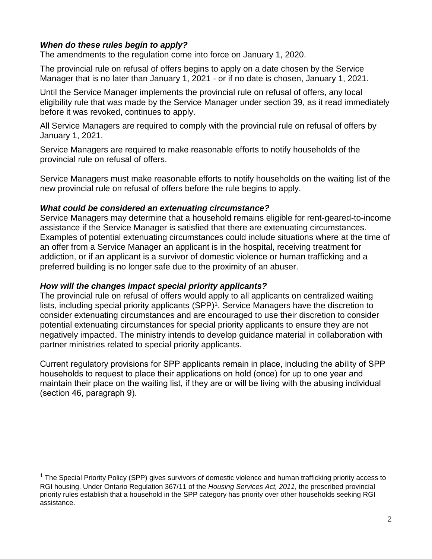# *When do these rules begin to apply?*

The amendments to the regulation come into force on January 1, 2020.

The provincial rule on refusal of offers begins to apply on a date chosen by the Service Manager that is no later than January 1, 2021 - or if no date is chosen, January 1, 2021.

Until the Service Manager implements the provincial rule on refusal of offers, any local eligibility rule that was made by the Service Manager under section 39, as it read immediately before it was revoked, continues to apply.

All Service Managers are required to comply with the provincial rule on refusal of offers by January 1, 2021.

Service Managers are required to make reasonable efforts to notify households of the provincial rule on refusal of offers.

Service Managers must make reasonable efforts to notify households on the waiting list of the new provincial rule on refusal of offers before the rule begins to apply.

#### *What could be considered an extenuating circumstance?*

Service Managers may determine that a household remains eligible for rent-geared-to-income assistance if the Service Manager is satisfied that there are extenuating circumstances. Examples of potential extenuating circumstances could include situations where at the time of an offer from a Service Manager an applicant is in the hospital, receiving treatment for addiction, or if an applicant is a survivor of domestic violence or human trafficking and a preferred building is no longer safe due to the proximity of an abuser.

#### *How will the changes impact special priority applicants?*

 $\overline{a}$ 

The provincial rule on refusal of offers would apply to all applicants on centralized waiting lists, including special priority applicants (SPP)<sup>1</sup>. Service Managers have the discretion to consider extenuating circumstances and are encouraged to use their discretion to consider potential extenuating circumstances for special priority applicants to ensure they are not negatively impacted. The ministry intends to develop guidance material in collaboration with partner ministries related to special priority applicants.

Current regulatory provisions for SPP applicants remain in place, including the ability of SPP households to request to place their applications on hold (once) for up to one year and maintain their place on the waiting list, if they are or will be living with the abusing individual (section 46, paragraph 9).

 $1$  The Special Priority Policy (SPP) gives survivors of domestic violence and human trafficking priority access to RGI housing. Under Ontario Regulation 367/11 of the *Housing Services Act, 2011*, the prescribed provincial priority rules establish that a household in the SPP category has priority over other households seeking RGI assistance.